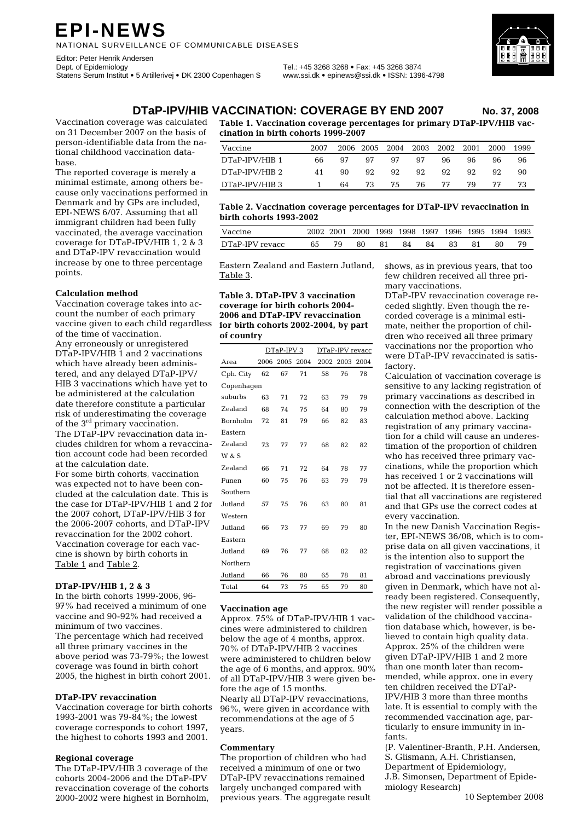# **EPI-NEWS**

NATIONAL SURVEILLANCE OF COMMUNICABLE DISEASES

Editor: Peter Henrik Andersen<br>Dept. of Epidemiology Statens Serum Institut • 5 Artillerivej • DK 2300 Copenhagen S www.ssi.dk • epinews@ssi.dk • ISSN: 1396-4798

Dept. of Epidemiology Tel.: +45 3268 3268 • Fax: +45 3268 3874



**DTaP-IPV/HIB VACCINATION: COVERAGE BY END 2007 No. 37, 2008**

Vaccination coverage was calculated on 31 December 2007 on the basis of person-identifiable data from the national childhood vaccination database.

The reported coverage is merely a minimal estimate, among others because only vaccinations performed in Denmark and by GPs are included, EPI-NEWS 6/07. Assuming that all immigrant children had been fully vaccinated, the average vaccination coverage for DTaP-IPV/HIB 1, 2 & 3 and DTaP-IPV revaccination would increase by one to three percentage points.

#### **Calculation method**

Vaccination coverage takes into account the number of each primary vaccine given to each child regardless of the time of vaccination. Any erroneously or unregistered DTaP-IPV/HIB 1 and 2 vaccinations which have already been administered, and any delayed DTaP-IPV/ HIB 3 vaccinations which have yet to be administered at the calculation date therefore constitute a particular risk of underestimating the coverage of the 3<sup>rd</sup> primary vaccination. The DTaP-IPV revaccination data includes children for whom a revaccination account code had been recorded at the calculation date.

For some birth cohorts, vaccination was expected not to have been concluded at the calculation date. This is the case for DTaP-IPV/HIB 1 and 2 for the 2007 cohort, DTaP-IPV/HIB 3 for the 2006-2007 cohorts, and DTaP-IPV revaccination for the 2002 cohort. Vaccination coverage for each vaccine is shown by birth cohorts in Table 1 and Table 2.

### **DTaP-IPV/HIB 1, 2 & 3**

In the birth cohorts 1999-2006, 96- 97% had received a minimum of one vaccine and 90-92% had received a minimum of two vaccines. The percentage which had received all three primary vaccines in the above period was 73-79%; the lowest coverage was found in birth cohort 2005, the highest in birth cohort 2001.

#### **DTaP-IPV revaccination**

Vaccination coverage for birth cohorts 1993-2001 was 79-84%; the lowest coverage corresponds to cohort 1997, the highest to cohorts 1993 and 2001.

#### **Regional coverage**

The DTaP-IPV/HIB 3 coverage of the cohorts 2004-2006 and the DTaP-IPV revaccination coverage of the cohorts 2000-2002 were highest in Bornholm, **Table 1. Vaccination coverage percentages for primary DTaP-IPV/HIB vaccination in birth cohorts 1999-2007** 

| Vaccine        | 2007 |    |     |     | 2006 2005 2004 2003 2002 2001 |     |     | 2000 | 1999 |
|----------------|------|----|-----|-----|-------------------------------|-----|-----|------|------|
| DTaP-IPV/HIB 1 | 66   | 97 | 97  | .97 | .97                           | 96. | 96. | 96.  | 96   |
| DTaP-IPV/HIB 2 | 41   | 90 | 92. | 92. | 92.                           | 92. | 92. | 92.  | 90   |
| DTaP-IPV/HIB 3 |      | 64 | 73  | 75  | 76                            | 77  | 79  | 77   | 73   |

#### **Table 2. Vaccination coverage percentages for DTaP-IPV revaccination in birth cohorts 1993-2002**

| Vaccine         |  |    | 2002 2001 2000 1999 1998 1997 1996 1995 1994 1993 |     |  |    |  |
|-----------------|--|----|---------------------------------------------------|-----|--|----|--|
| DTaP-IPV revacc |  | 80 |                                                   | -84 |  | 80 |  |

Eastern Zealand and Eastern Jutland, Table 3.

#### **Table 3. DTaP-IPV 3 vaccination coverage for birth cohorts 2004- 2006 and DTaP-IPV revaccination for birth cohorts 2002-2004, by part of country**

|                 |      | DTaP-IPV 3 |      | DTaP-IPV revacc |      |      |  |  |  |
|-----------------|------|------------|------|-----------------|------|------|--|--|--|
| Area            | 2006 | 2005       | 2004 | 2002            | 2003 | 2004 |  |  |  |
| Cph. City       | 62   | 67         | 71   | 58              | 76   | 78   |  |  |  |
| Copenhagen      |      |            |      |                 |      |      |  |  |  |
| suburbs         | 63   | 71         | 72   | 63              | 79   | 79   |  |  |  |
| Zealand         | 68   | 74         | 75   | 64              | 80   | 79   |  |  |  |
| <b>Bornholm</b> | 72   | 81         | 79   | 66              | 82   | 83   |  |  |  |
| Eastern         |      |            |      |                 |      |      |  |  |  |
| Zealand         | 73   | 77         | 77   | 68              | 82   | 82   |  |  |  |
| W & S           |      |            |      |                 |      |      |  |  |  |
| Zealand         | 66   | 71         | 72   | 64              | 78   | 77   |  |  |  |
| Funen           | 60   | 75         | 76   | 63              | 79   | 79   |  |  |  |
| Southern        |      |            |      |                 |      |      |  |  |  |
| Jutland         | 57   | 75         | 76   | 63              | 80   | 81   |  |  |  |
| Western         |      |            |      |                 |      |      |  |  |  |
| Jutland         | 66   | 73         | 77   | 69              | 79   | 80   |  |  |  |
| Eastern         |      |            |      |                 |      |      |  |  |  |
| Jutland         | 69   | 76         | 77   | 68              | 82   | 82   |  |  |  |
| Northern        |      |            |      |                 |      |      |  |  |  |
| Jutland         | 66   | 76         | 80   | 65              | 78   | 81   |  |  |  |
| Total           | 64   | 73         | 75   | 65              | 79   | 80   |  |  |  |

### **Vaccination age**

Approx. 75% of DTaP-IPV/HIB 1 vaccines were administered to children below the age of 4 months, approx. 70% of DTaP-IPV/HIB 2 vaccines were administered to children below the age of 6 months, and approx. 90% of all DTaP-IPV/HIB 3 were given before the age of 15 months. Nearly all DTaP-IPV revaccinations, 96%, were given in accordance with recommendations at the age of 5 years.

#### **Commentary**

The proportion of children who had received a minimum of one or two DTaP-IPV revaccinations remained largely unchanged compared with previous years. The aggregate result shows, as in previous years, that too few children received all three primary vaccinations.

DTaP-IPV revaccination coverage receded slightly. Even though the recorded coverage is a minimal estimate, neither the proportion of children who received all three primary vaccinations nor the proportion who were DTaP-IPV revaccinated is satisfactory.

Calculation of vaccination coverage is sensitive to any lacking registration of primary vaccinations as described in connection with the description of the calculation method above. Lacking registration of any primary vaccination for a child will cause an underestimation of the proportion of children who has received three primary vaccinations, while the proportion which has received 1 or 2 vaccinations will not be affected. It is therefore essential that all vaccinations are registered and that GPs use the correct codes at every vaccination.

In the new Danish Vaccination Register, EPI-NEWS 36/08, which is to comprise data on all given vaccinations, it is the intention also to support the registration of vaccinations given abroad and vaccinations previously given in Denmark, which have not already been registered. Consequently, the new register will render possible a validation of the childhood vaccination database which, however, is believed to contain high quality data. Approx. 25% of the children were given DTaP-IPV/HIB 1 and 2 more than one month later than recommended, while approx. one in every ten children received the DTaP-IPV/HIB 3 more than three months late. It is essential to comply with the recommended vaccination age, particularly to ensure immunity in infants.

(P. Valentiner-Branth, P.H. Andersen, S. Glismann, A.H. Christiansen, Department of Epidemiology, J.B. Simonsen, Department of Epidemiology Research)